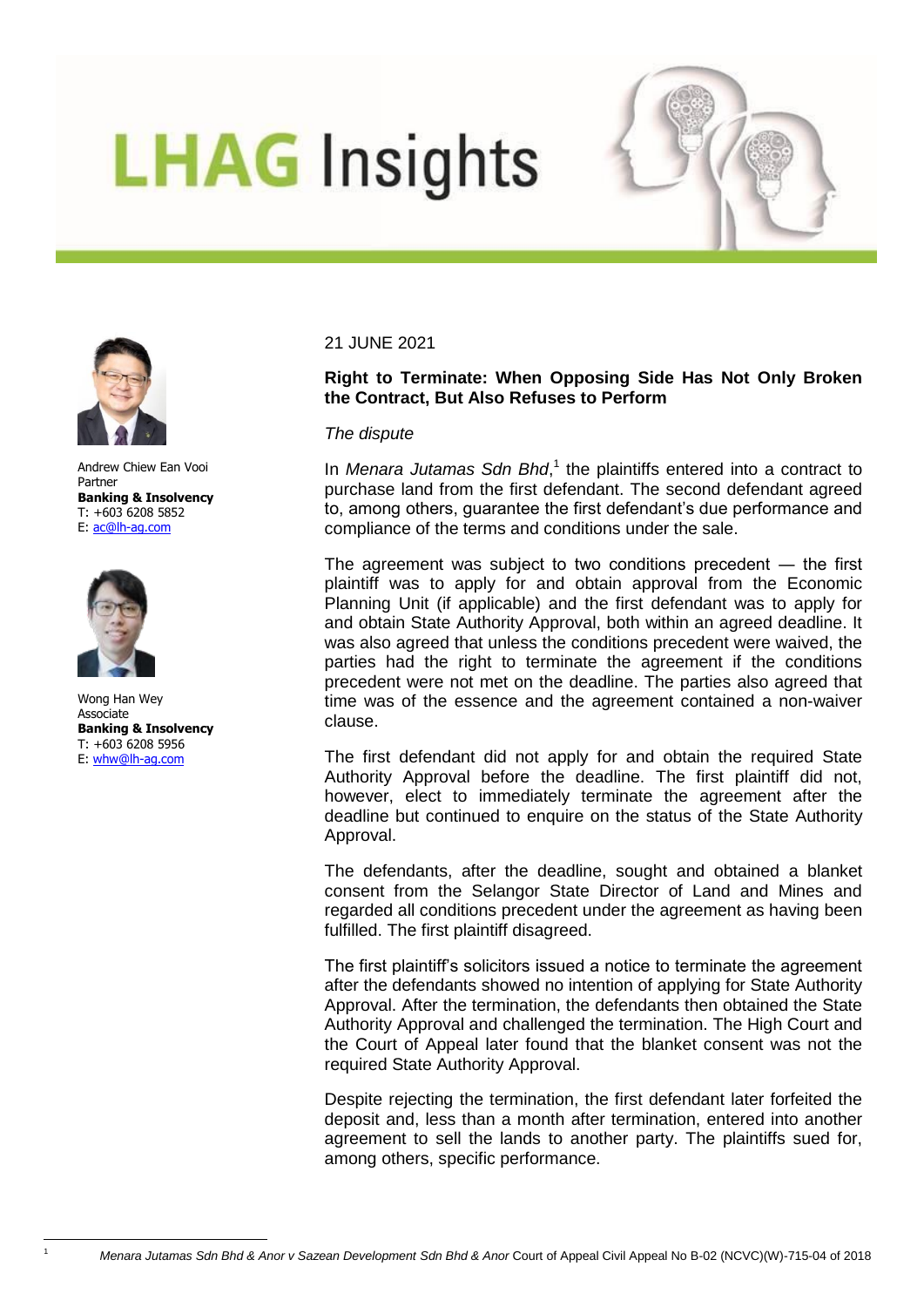# **LHAG Insights**





Andrew Chiew Ean Vooi Partner **Banking & Insolvency**  T: +603 6208 5852 E: [ac@lh-ag.com](mailto:ac@lh-ag.com)



 $\overline{a}$ 

Wong Han Wey Associate **Banking & Insolvency** T: +603 6208 5956 E: [whw@lh-ag.com](mailto:whw@lh-ag.com)

### 21 JUNE 2021

# **Right to Terminate: When Opposing Side Has Not Only Broken the Contract, But Also Refuses to Perform**

#### *The dispute*

In Menara Jutamas Sdn Bhd,<sup>1</sup> the plaintiffs entered into a contract to purchase land from the first defendant. The second defendant agreed to, among others, guarantee the first defendant"s due performance and compliance of the terms and conditions under the sale.

The agreement was subject to two conditions precedent ― the first plaintiff was to apply for and obtain approval from the Economic Planning Unit (if applicable) and the first defendant was to apply for and obtain State Authority Approval, both within an agreed deadline. It was also agreed that unless the conditions precedent were waived, the parties had the right to terminate the agreement if the conditions precedent were not met on the deadline. The parties also agreed that time was of the essence and the agreement contained a non-waiver clause.

The first defendant did not apply for and obtain the required State Authority Approval before the deadline. The first plaintiff did not, however, elect to immediately terminate the agreement after the deadline but continued to enquire on the status of the State Authority Approval.

The defendants, after the deadline, sought and obtained a blanket consent from the Selangor State Director of Land and Mines and regarded all conditions precedent under the agreement as having been fulfilled. The first plaintiff disagreed.

The first plaintiff"s solicitors issued a notice to terminate the agreement after the defendants showed no intention of applying for State Authority Approval. After the termination, the defendants then obtained the State Authority Approval and challenged the termination. The High Court and the Court of Appeal later found that the blanket consent was not the required State Authority Approval.

Despite rejecting the termination, the first defendant later forfeited the deposit and, less than a month after termination, entered into another agreement to sell the lands to another party. The plaintiffs sued for, among others, specific performance.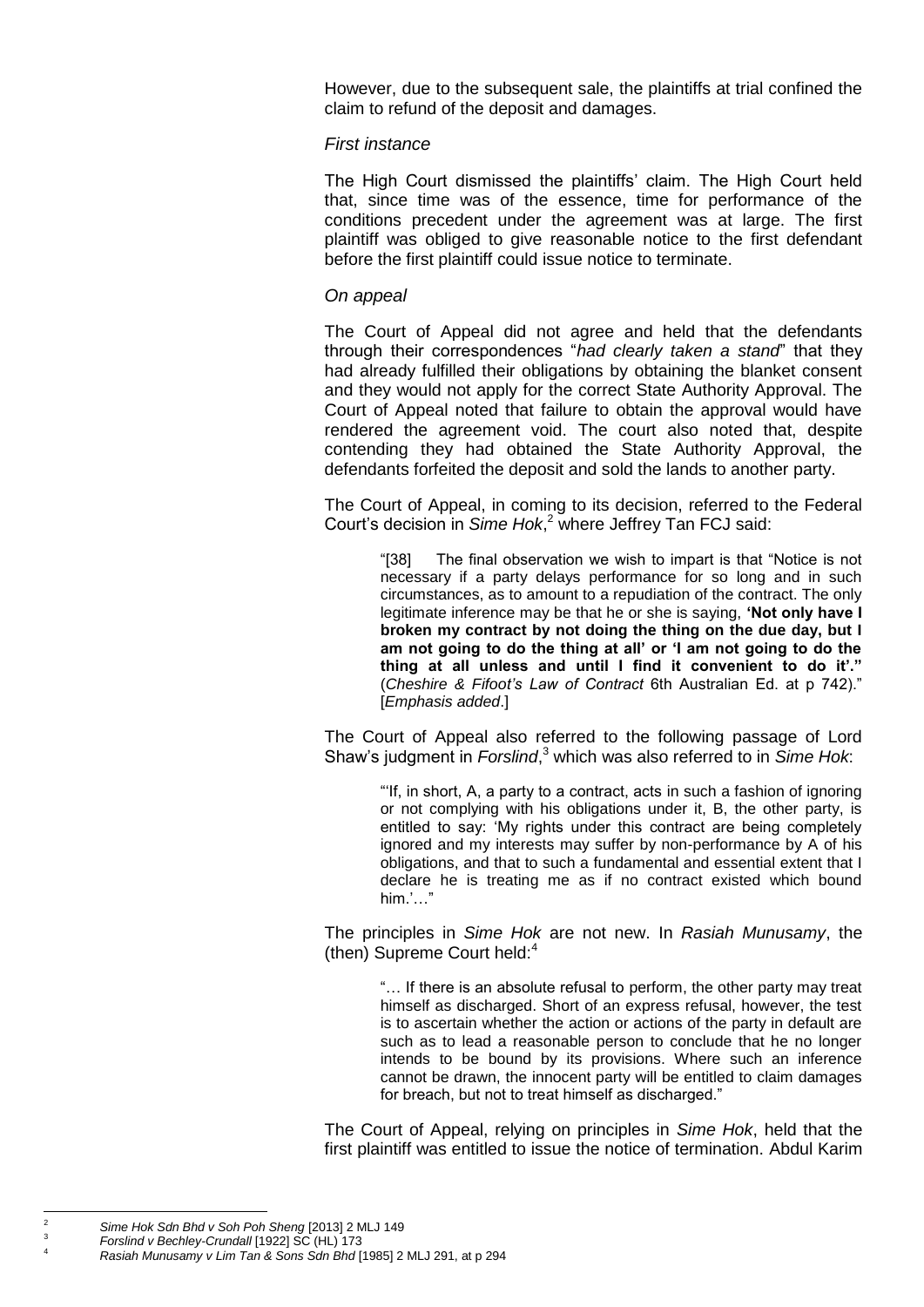However, due to the subsequent sale, the plaintiffs at trial confined the claim to refund of the deposit and damages.

### *First instance*

The High Court dismissed the plaintiffs" claim. The High Court held that, since time was of the essence, time for performance of the conditions precedent under the agreement was at large. The first plaintiff was obliged to give reasonable notice to the first defendant before the first plaintiff could issue notice to terminate.

## *On appeal*

The Court of Appeal did not agree and held that the defendants through their correspondences "*had clearly taken a stand*" that they had already fulfilled their obligations by obtaining the blanket consent and they would not apply for the correct State Authority Approval. The Court of Appeal noted that failure to obtain the approval would have rendered the agreement void. The court also noted that, despite contending they had obtained the State Authority Approval, the defendants forfeited the deposit and sold the lands to another party.

The Court of Appeal, in coming to its decision, referred to the Federal Court"s decision in *Sime Hok*, <sup>2</sup> where Jeffrey Tan FCJ said:

> "[38] The final observation we wish to impart is that "Notice is not necessary if a party delays performance for so long and in such circumstances, as to amount to a repudiation of the contract. The only legitimate inference may be that he or she is saying, **'Not only have I broken my contract by not doing the thing on the due day, but I am not going to do the thing at all' or 'I am not going to do the thing at all unless and until I find it convenient to do it'."**  (*Cheshire & Fifoot's Law of Contract* 6th Australian Ed. at p 742)." [*Emphasis added*.]

The Court of Appeal also referred to the following passage of Lord Shaw"s judgment in *Forslind*, <sup>3</sup> which was also referred to in *Sime Hok*:

> ""If, in short, A, a party to a contract, acts in such a fashion of ignoring or not complying with his obligations under it, B, the other party, is entitled to say: 'My rights under this contract are being completely ignored and my interests may suffer by non-performance by A of his obligations, and that to such a fundamental and essential extent that I declare he is treating me as if no contract existed which bound  $him.'..."$

The principles in *Sime Hok* are not new. In *Rasiah Munusamy*, the (then) Supreme Court held: $4$ 

> "… If there is an absolute refusal to perform, the other party may treat himself as discharged. Short of an express refusal, however, the test is to ascertain whether the action or actions of the party in default are such as to lead a reasonable person to conclude that he no longer intends to be bound by its provisions. Where such an inference cannot be drawn, the innocent party will be entitled to claim damages for breach, but not to treat himself as discharged."

The Court of Appeal, relying on principles in *Sime Hok*, held that the first plaintiff was entitled to issue the notice of termination. Abdul Karim

 $\overline{2}$ 

<sup>2</sup> *Sime Hok Sdn Bhd v Soh Poh Sheng* [2013] 2 MLJ 149 3

*Forslind v Bechley-Crundall* [1922] SC (HL) 173

<sup>4</sup> *Rasiah Munusamy v Lim Tan & Sons Sdn Bhd* [1985] 2 MLJ 291, at p 294